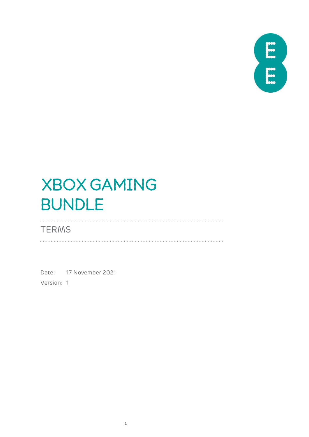

# XBOX GAMING BUNDLE

**TERMS** 

Date: 17 November 2021 Version: 1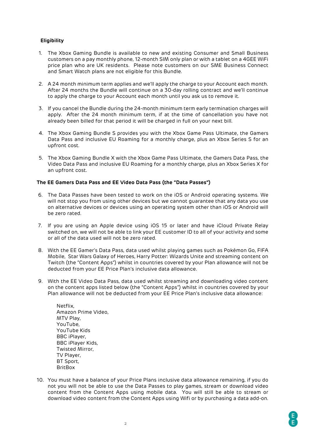## **Eligibility**

- 1. The Xbox Gaming Bundle is available to new and existing Consumer and Small Business customers on a pay monthly phone, 12-month SIM only plan or with a tablet on a 4GEE WiFi price plan who are UK residents. Please note customers on our SME Business Connect and Smart Watch plans are not eligible for this Bundle.
- 2. A 24 month minimum term applies and we'll apply the charge to your Account each month. After 24 months the Bundle will continue on a 30-day rolling contract and we'll continue to apply the charge to your Account each month until you ask us to remove it.
- 3. If you cancel the Bundle during the 24-month minimum term early termination charges will apply. After the 24 month minimum term, if at the time of cancellation you have not already been billed for that period it will be charged in full on your next bill.
- 4. The Xbox Gaming Bundle S provides you with the Xbox Game Pass Ultimate, the Gamers Data Pass and inclusive EU Roaming for a monthly charge, plus an Xbox Series S for an upfront cost.
- 5. The Xbox Gaming Bundle X with the Xbox Game Pass Ultimate, the Gamers Data Pass, the Video Data Pass and inclusive EU Roaming for a monthly charge, plus an Xbox Series X for an upfront cost.

#### **The EE Gamers Data Pass and EE Video Data Pass (the "Data Passes")**

- 6. The Data Passes have been tested to work on the iOS or Android operating systems. We will not stop you from using other devices but we cannot guarantee that any data you use on alternative devices or devices using an operating system other than iOS or Android will be zero rated.
- 7. If you are using an Apple device using iOS 15 or later and have iCloud Private Relay switched on, we will not be able to link your EE customer ID to all of your activity and some or all of the data used will not be zero rated.
- 8. With the EE Gamer's Data Pass, data used whilst playing games such as Pokémon Go, FIFA Mobile, Star Wars Galaxy of Heroes, Harry Potter: Wizards Unite and streaming content on Twitch (the "Content Apps") whilst in countries covered by your Plan allowance will not be deducted from your EE Price Plan's inclusive data allowance.
- 9. With the EE Video Data Pass, data used whilst streaming and downloading video content on the content apps listed below (the "Content Apps") whilst in countries covered by your Plan allowance will not be deducted from your EE Price Plan's inclusive data allowance:

Netflix, Amazon Prime Video, MTV Play, YouTube, YouTube Kids BBC iPlayer, BBC iPlayer Kids, Twisted Mirror, TV Player, BT Sport, **BritBox** 

10. You must have a balance of your Price Plans inclusive data allowance remaining, if you do not you will not be able to use the Data Passes to play games, stream or download video content from the Content Apps using mobile data. You will still be able to stream or download video content from the Content Apps using Wifi or by purchasing a data add-on.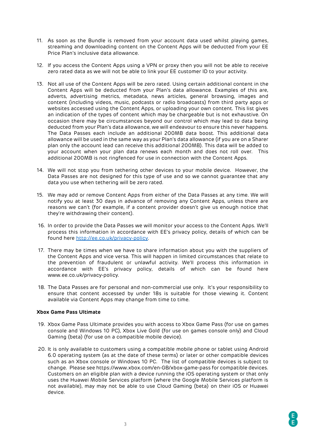- 11. As soon as the Bundle is removed from your account data used whilst playing games, streaming and downloading content on the Content Apps will be deducted from your EE Price Plan's inclusive data allowance.
- 12. If you access the Content Apps using a VPN or proxy then you will not be able to receive zero rated data as we will not be able to link your EE customer ID to your activity.
- 13. Not all use of the Content Apps will be zero rated. Using certain additional content in the Content Apps will be deducted from your Plan's data allowance. Examples of this are, adverts, advertising metrics, metadata, news articles, general browsing, images and content (including videos, music, podcasts or radio broadcasts) from third party apps or websites accessed using the Content Apps, or uploading your own content. This list gives an indication of the types of content which may be chargeable but is not exhaustive. On occasion there may be circumstances beyond our control which may lead to data being deducted from your Plan's data allowance, we will endeavour to ensure this never happens. The Data Passes each include an additional 200MB data boost. This additional data allowance will be used in the same way as your Plan's data allowance (if you are on a Sharer plan only the account lead can receive this additional 200MB). This data will be added to your account when your plan data renews each month and does not roll over. This additional 200MB is not ringfenced for use in connection with the Content Apps.
- 14. We will not stop you from tethering other devices to your mobile device. However, the Data Passes are not designed for this type of use and so we cannot guarantee that any data you use when tethering will be zero rated.
- 15. We may add or remove Content Apps from either of the Data Passes at any time. We will notify you at least 30 days in advance of removing any Content Apps, unless there are reasons we can't (for example, if a content provider doesn't give us enough notice that they're withdrawing their content).
- 16. In order to provide the Data Passes we will monitor your access to the Content Apps. We'll process this information in accordance with EE's privacy policy, details of which can be found here [http://ee.co.uk/privacy-policy.](http://ee.co.uk/privacy-policy)
- 17. There may be times when we have to share information about you with the suppliers of the Content Apps and vice versa. This will happen in limited circumstances that relate to the prevention of fraudulent or unlawful activity. We'll process this information in accordance with EE's privacy policy, details of which can be found here www.ee.co.uk/privacy-policy.
- 18. The Data Passes are for personal and non-commercial use only. It's your responsibility to ensure that content accessed by under 18s is suitable for those viewing it. Content available via Content Apps may change from time to time.

#### **Xbox Game Pass Ultimate**

- 19. Xbox Game Pass Ultimate provides you with access to Xbox Game Pass (for use on games console and Windows 10 PC), Xbox Live Gold (for use on games console only) and Cloud Gaming (beta) (for use on a compatible mobile device).
- 20. It is only available to customers using a compatible mobile phone or tablet using Android 6.0 operating system (as at the date of these terms) or later or other compatible devices such as an Xbox console or Windows 10 PC. The list of compatible devices is subject to change. Please see https://www.xbox.com/en-GB/xbox-game-pass for compatible devices. Customers on an eligible plan with a device running the iOS operating system or that only uses the Huawei Mobile Services platform (where the Google Mobile Services platform is not available), may may not be able to use Cloud Gaming (beta) on their iOS or Huawei device.